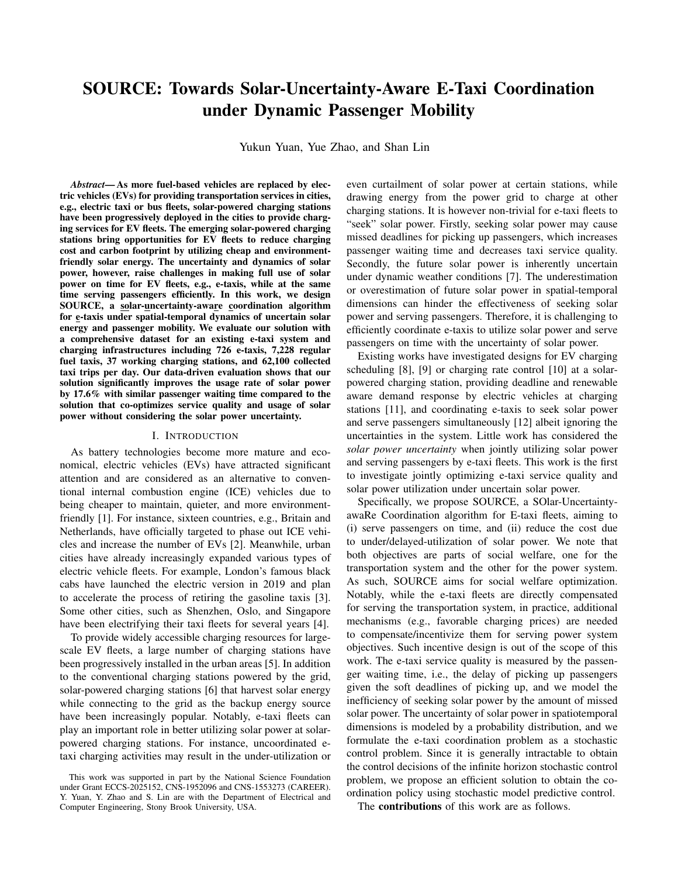# SOURCE: Towards Solar-Uncertainty-Aware E-Taxi Coordination under Dynamic Passenger Mobility

Yukun Yuan, Yue Zhao, and Shan Lin

*Abstract*— As more fuel-based vehicles are replaced by electric vehicles (EVs) for providing transportation services in cities, e.g., electric taxi or bus fleets, solar-powered charging stations have been progressively deployed in the cities to provide charging services for EV fleets. The emerging solar-powered charging stations bring opportunities for EV fleets to reduce charging cost and carbon footprint by utilizing cheap and environmentfriendly solar energy. The uncertainty and dynamics of solar power, however, raise challenges in making full use of solar power on time for EV fleets, e.g., e-taxis, while at the same time serving passengers efficiently. In this work, we design SOURCE, a solar-uncertainty-aware coordination algorithm for e-taxis under spatial-temporal dynamics of uncertain solar energy and passenger mobility. We evaluate our solution with a comprehensive dataset for an existing e-taxi system and charging infrastructures including 726 e-taxis, 7,228 regular fuel taxis, 37 working charging stations, and 62,100 collected taxi trips per day. Our data-driven evaluation shows that our solution significantly improves the usage rate of solar power by 17.6% with similar passenger waiting time compared to the solution that co-optimizes service quality and usage of solar power without considering the solar power uncertainty.

#### I. INTRODUCTION

As battery technologies become more mature and economical, electric vehicles (EVs) have attracted significant attention and are considered as an alternative to conventional internal combustion engine (ICE) vehicles due to being cheaper to maintain, quieter, and more environmentfriendly [1]. For instance, sixteen countries, e.g., Britain and Netherlands, have officially targeted to phase out ICE vehicles and increase the number of EVs [2]. Meanwhile, urban cities have already increasingly expanded various types of electric vehicle fleets. For example, London's famous black cabs have launched the electric version in 2019 and plan to accelerate the process of retiring the gasoline taxis [3]. Some other cities, such as Shenzhen, Oslo, and Singapore have been electrifying their taxi fleets for several years [4].

To provide widely accessible charging resources for largescale EV fleets, a large number of charging stations have been progressively installed in the urban areas [5]. In addition to the conventional charging stations powered by the grid, solar-powered charging stations [6] that harvest solar energy while connecting to the grid as the backup energy source have been increasingly popular. Notably, e-taxi fleets can play an important role in better utilizing solar power at solarpowered charging stations. For instance, uncoordinated etaxi charging activities may result in the under-utilization or even curtailment of solar power at certain stations, while drawing energy from the power grid to charge at other charging stations. It is however non-trivial for e-taxi fleets to "seek" solar power. Firstly, seeking solar power may cause missed deadlines for picking up passengers, which increases passenger waiting time and decreases taxi service quality. Secondly, the future solar power is inherently uncertain under dynamic weather conditions [7]. The underestimation or overestimation of future solar power in spatial-temporal dimensions can hinder the effectiveness of seeking solar power and serving passengers. Therefore, it is challenging to efficiently coordinate e-taxis to utilize solar power and serve passengers on time with the uncertainty of solar power.

Existing works have investigated designs for EV charging scheduling [8], [9] or charging rate control [10] at a solarpowered charging station, providing deadline and renewable aware demand response by electric vehicles at charging stations [11], and coordinating e-taxis to seek solar power and serve passengers simultaneously [12] albeit ignoring the uncertainties in the system. Little work has considered the *solar power uncertainty* when jointly utilizing solar power and serving passengers by e-taxi fleets. This work is the first to investigate jointly optimizing e-taxi service quality and solar power utilization under uncertain solar power.

Specifically, we propose SOURCE, a SOlar-UncertaintyawaRe Coordination algorithm for E-taxi fleets, aiming to (i) serve passengers on time, and (ii) reduce the cost due to under/delayed-utilization of solar power. We note that both objectives are parts of social welfare, one for the transportation system and the other for the power system. As such, SOURCE aims for social welfare optimization. Notably, while the e-taxi fleets are directly compensated for serving the transportation system, in practice, additional mechanisms (e.g., favorable charging prices) are needed to compensate/incentivize them for serving power system objectives. Such incentive design is out of the scope of this work. The e-taxi service quality is measured by the passenger waiting time, i.e., the delay of picking up passengers given the soft deadlines of picking up, and we model the inefficiency of seeking solar power by the amount of missed solar power. The uncertainty of solar power in spatiotemporal dimensions is modeled by a probability distribution, and we formulate the e-taxi coordination problem as a stochastic control problem. Since it is generally intractable to obtain the control decisions of the infinite horizon stochastic control problem, we propose an efficient solution to obtain the coordination policy using stochastic model predictive control.

The contributions of this work are as follows.

This work was supported in part by the National Science Foundation under Grant ECCS-2025152, CNS-1952096 and CNS-1553273 (CAREER). Y. Yuan, Y. Zhao and S. Lin are with the Department of Electrical and Computer Engineering, Stony Brook University, USA.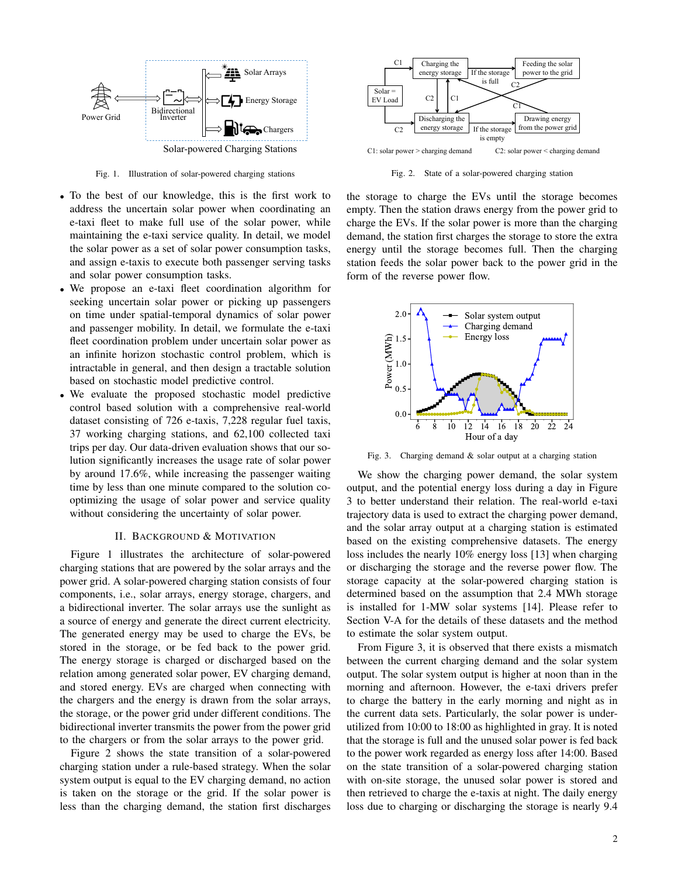

Fig. 1. Illustration of solar-powered charging stations

- To the best of our knowledge, this is the first work to address the uncertain solar power when coordinating an e-taxi fleet to make full use of the solar power, while maintaining the e-taxi service quality. In detail, we model the solar power as a set of solar power consumption tasks, and assign e-taxis to execute both passenger serving tasks and solar power consumption tasks.
- We propose an e-taxi fleet coordination algorithm for seeking uncertain solar power or picking up passengers on time under spatial-temporal dynamics of solar power and passenger mobility. In detail, we formulate the e-taxi fleet coordination problem under uncertain solar power as an infinite horizon stochastic control problem, which is intractable in general, and then design a tractable solution based on stochastic model predictive control.
- We evaluate the proposed stochastic model predictive control based solution with a comprehensive real-world dataset consisting of 726 e-taxis, 7,228 regular fuel taxis, 37 working charging stations, and 62,100 collected taxi trips per day. Our data-driven evaluation shows that our solution significantly increases the usage rate of solar power by around 17.6%, while increasing the passenger waiting time by less than one minute compared to the solution cooptimizing the usage of solar power and service quality without considering the uncertainty of solar power.

## II. BACKGROUND & MOTIVATION

Figure 1 illustrates the architecture of solar-powered charging stations that are powered by the solar arrays and the power grid. A solar-powered charging station consists of four components, i.e., solar arrays, energy storage, chargers, and a bidirectional inverter. The solar arrays use the sunlight as a source of energy and generate the direct current electricity. The generated energy may be used to charge the EVs, be stored in the storage, or be fed back to the power grid. The energy storage is charged or discharged based on the relation among generated solar power, EV charging demand, and stored energy. EVs are charged when connecting with the chargers and the energy is drawn from the solar arrays, the storage, or the power grid under different conditions. The bidirectional inverter transmits the power from the power grid to the chargers or from the solar arrays to the power grid.

Figure 2 shows the state transition of a solar-powered charging station under a rule-based strategy. When the solar system output is equal to the EV charging demand, no action is taken on the storage or the grid. If the solar power is less than the charging demand, the station first discharges



Fig. 2. State of a solar-powered charging station

the storage to charge the EVs until the storage becomes empty. Then the station draws energy from the power grid to charge the EVs. If the solar power is more than the charging demand, the station first charges the storage to store the extra energy until the storage becomes full. Then the charging station feeds the solar power back to the power grid in the form of the reverse power flow.



Fig. 3. Charging demand & solar output at a charging station

We show the charging power demand, the solar system output, and the potential energy loss during a day in Figure 3 to better understand their relation. The real-world e-taxi trajectory data is used to extract the charging power demand, and the solar array output at a charging station is estimated based on the existing comprehensive datasets. The energy loss includes the nearly 10% energy loss [13] when charging or discharging the storage and the reverse power flow. The storage capacity at the solar-powered charging station is determined based on the assumption that 2.4 MWh storage is installed for 1-MW solar systems [14]. Please refer to Section V-A for the details of these datasets and the method to estimate the solar system output.

From Figure 3, it is observed that there exists a mismatch between the current charging demand and the solar system output. The solar system output is higher at noon than in the morning and afternoon. However, the e-taxi drivers prefer to charge the battery in the early morning and night as in the current data sets. Particularly, the solar power is underutilized from 10:00 to 18:00 as highlighted in gray. It is noted that the storage is full and the unused solar power is fed back to the power work regarded as energy loss after 14:00. Based on the state transition of a solar-powered charging station with on-site storage, the unused solar power is stored and then retrieved to charge the e-taxis at night. The daily energy loss due to charging or discharging the storage is nearly 9.4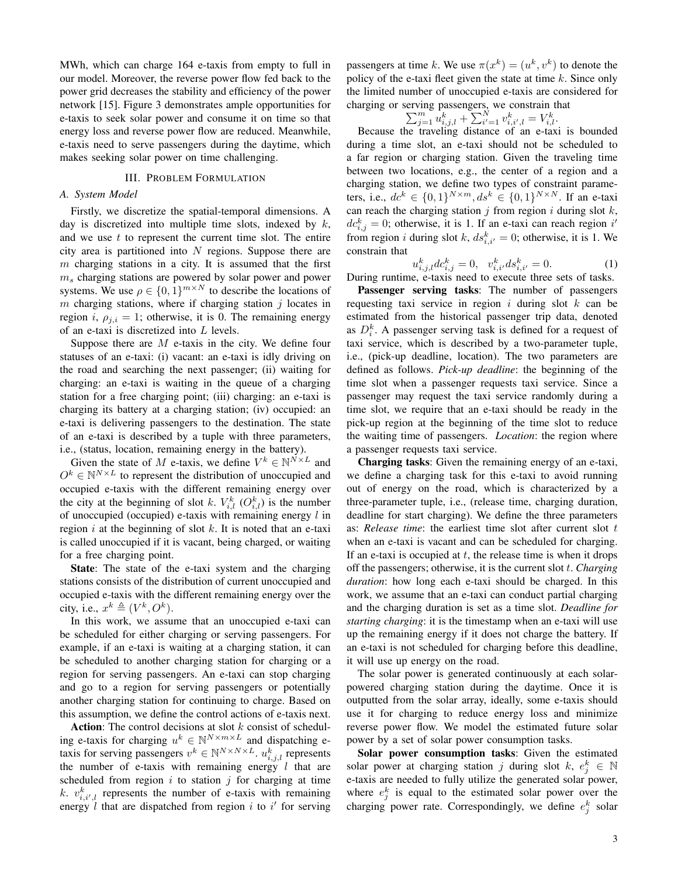MWh, which can charge 164 e-taxis from empty to full in our model. Moreover, the reverse power flow fed back to the power grid decreases the stability and efficiency of the power network [15]. Figure 3 demonstrates ample opportunities for e-taxis to seek solar power and consume it on time so that energy loss and reverse power flow are reduced. Meanwhile, e-taxis need to serve passengers during the daytime, which makes seeking solar power on time challenging.

# III. PROBLEM FORMULATION

#### *A. System Model*

Firstly, we discretize the spatial-temporal dimensions. A day is discretized into multiple time slots, indexed by  $k$ , and we use  $t$  to represent the current time slot. The entire city area is partitioned into  $N$  regions. Suppose there are  $m$  charging stations in a city. It is assumed that the first  $m<sub>s</sub>$  charging stations are powered by solar power and power systems. We use  $\rho \in \{0,1\}^{m \times N}$  to describe the locations of  $m$  charging stations, where if charging station  $j$  locates in region i,  $\rho_{i,i} = 1$ ; otherwise, it is 0. The remaining energy of an e-taxi is discretized into L levels.

Suppose there are  $M$  e-taxis in the city. We define four statuses of an e-taxi: (i) vacant: an e-taxi is idly driving on the road and searching the next passenger; (ii) waiting for charging: an e-taxi is waiting in the queue of a charging station for a free charging point; (iii) charging: an e-taxi is charging its battery at a charging station; (iv) occupied: an e-taxi is delivering passengers to the destination. The state of an e-taxi is described by a tuple with three parameters, i.e., (status, location, remaining energy in the battery).

Given the state of M e-taxis, we define  $V^k \in \mathbb{N}^{N \times L}$  and  $O^k \in \mathbb{N}^{N \times L}$  to represent the distribution of unoccupied and occupied e-taxis with the different remaining energy over the city at the beginning of slot k.  $V_{i,l}^{k}$  ( $O_{i,l}^{k}$ ) is the number of unoccupied (occupied) e-taxis with remaining energy  $l$  in region  $i$  at the beginning of slot  $k$ . It is noted that an e-taxi is called unoccupied if it is vacant, being charged, or waiting for a free charging point.

State: The state of the e-taxi system and the charging stations consists of the distribution of current unoccupied and occupied e-taxis with the different remaining energy over the city, i.e.,  $x^k \triangleq (V^k, O^k)$ .

In this work, we assume that an unoccupied e-taxi can be scheduled for either charging or serving passengers. For example, if an e-taxi is waiting at a charging station, it can be scheduled to another charging station for charging or a region for serving passengers. An e-taxi can stop charging and go to a region for serving passengers or potentially another charging station for continuing to charge. Based on this assumption, we define the control actions of e-taxis next.

Action: The control decisions at slot  $k$  consist of scheduling e-taxis for charging  $u^k \in \mathbb{N}^{N \times m \times L}$  and dispatching etaxis for serving passengers  $v^k \in \mathbb{N}^{N \times N \times L}$ .  $u^k_{i,j,l}$  represents the number of e-taxis with remaining energy  $l$  that are scheduled from region  $i$  to station  $j$  for charging at time k.  $v_{i,i',l}^k$  represents the number of e-taxis with remaining energy  $\hat{l}$  that are dispatched from region  $i$  to  $i'$  for serving

passengers at time k. We use  $\pi(x^k) = (u^k, v^k)$  to denote the policy of the e-taxi fleet given the state at time  $k$ . Since only the limited number of unoccupied e-taxis are considered for charging or serving passengers, we constrain that

$$
\sum_{j=1}^{m} u_{i,j,l}^k + \sum_{i'=1}^{N} v_{i,i',l}^k = V_{i,l}^k.
$$

Because the traveling distance of an e-taxi is bounded during a time slot, an e-taxi should not be scheduled to a far region or charging station. Given the traveling time between two locations, e.g., the center of a region and a charging station, we define two types of constraint parameters, i.e.,  $dc^{k} \in \{0,1\}^{N \times m}, ds^{k} \in \{0,1\}^{N \times N}$ . If an e-taxi can reach the charging station  $j$  from region  $i$  during slot  $k$ ,  $dc_{i,j}^k = 0$ ; otherwise, it is 1. If an e-taxi can reach region  $i'$ from region *i* during slot k,  $ds_{i,i'}^k = 0$ ; otherwise, it is 1. We constrain that

$$
u_{i,j,l}^k dc_{i,j}^k = 0, \quad v_{i,i'}^k ds_{i,i'}^k = 0.
$$
 (1)

During runtime, e-taxis need to execute three sets of tasks.

Passenger serving tasks: The number of passengers requesting taxi service in region  $i$  during slot  $k$  can be estimated from the historical passenger trip data, denoted as  $D_i^k$ . A passenger serving task is defined for a request of taxi service, which is described by a two-parameter tuple, i.e., (pick-up deadline, location). The two parameters are defined as follows. *Pick-up deadline*: the beginning of the time slot when a passenger requests taxi service. Since a passenger may request the taxi service randomly during a time slot, we require that an e-taxi should be ready in the pick-up region at the beginning of the time slot to reduce the waiting time of passengers. *Location*: the region where a passenger requests taxi service.

Charging tasks: Given the remaining energy of an e-taxi, we define a charging task for this e-taxi to avoid running out of energy on the road, which is characterized by a three-parameter tuple, i.e., (release time, charging duration, deadline for start charging). We define the three parameters as: *Release time*: the earliest time slot after current slot t when an e-taxi is vacant and can be scheduled for charging. If an e-taxi is occupied at  $t$ , the release time is when it drops off the passengers; otherwise, it is the current slot t. *Charging duration*: how long each e-taxi should be charged. In this work, we assume that an e-taxi can conduct partial charging and the charging duration is set as a time slot. *Deadline for starting charging*: it is the timestamp when an e-taxi will use up the remaining energy if it does not charge the battery. If an e-taxi is not scheduled for charging before this deadline, it will use up energy on the road.

The solar power is generated continuously at each solarpowered charging station during the daytime. Once it is outputted from the solar array, ideally, some e-taxis should use it for charging to reduce energy loss and minimize reverse power flow. We model the estimated future solar power by a set of solar power consumption tasks.

Solar power consumption tasks: Given the estimated solar power at charging station j during slot  $k, e_j^k \in \mathbb{N}$ e-taxis are needed to fully utilize the generated solar power, where  $e_j^k$  is equal to the estimated solar power over the charging power rate. Correspondingly, we define  $e_j^k$  solar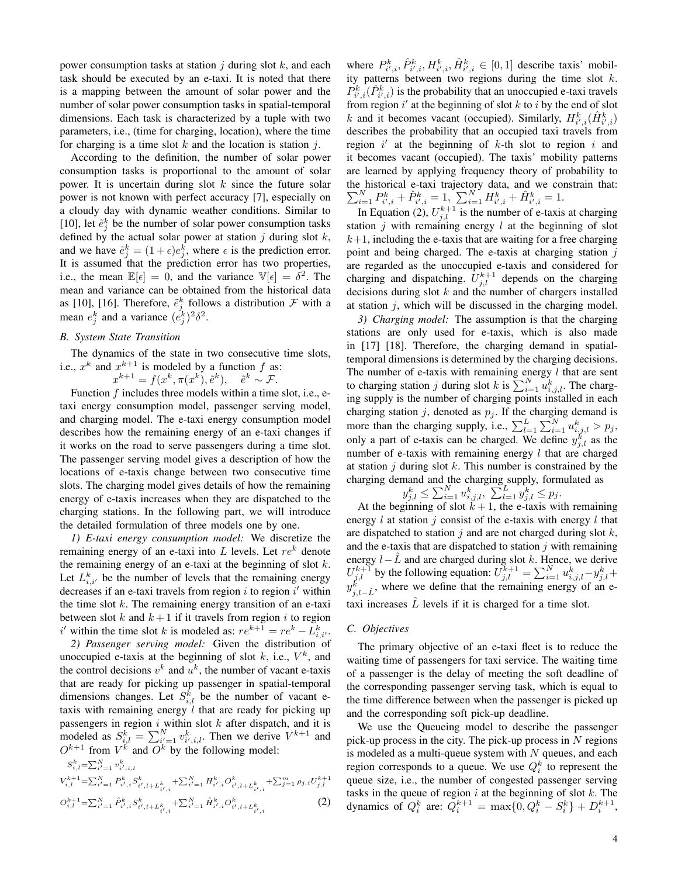power consumption tasks at station  $j$  during slot  $k$ , and each task should be executed by an e-taxi. It is noted that there is a mapping between the amount of solar power and the number of solar power consumption tasks in spatial-temporal dimensions. Each task is characterized by a tuple with two parameters, i.e., (time for charging, location), where the time for charging is a time slot  $k$  and the location is station  $j$ .

According to the definition, the number of solar power consumption tasks is proportional to the amount of solar power. It is uncertain during slot  $k$  since the future solar power is not known with perfect accuracy [7], especially on a cloudy day with dynamic weather conditions. Similar to [10], let  $\tilde{e}^k_j$  be the number of solar power consumption tasks defined by the actual solar power at station  $j$  during slot  $k$ , and we have  $\tilde{e}_j^k = (1 + \epsilon)e_j^k$ , where  $\epsilon$  is the prediction error. It is assumed that the prediction error has two properties, i.e., the mean  $\mathbb{E}[\epsilon] = 0$ , and the variance  $\mathbb{V}[\epsilon] = \delta^2$ . The mean and variance can be obtained from the historical data as [10], [16]. Therefore,  $\tilde{e}^k_j$  follows a distribution  $\mathcal F$  with a mean  $e_j^k$  and a variance  $(e_j^k)^2 \delta^2$ .

## *B. System State Transition*

The dynamics of the state in two consecutive time slots, i.e.,  $x^k$  and  $x^{k+1}$  is modeled by a function f as:

$$
x^{k+1} = f(x^k, \pi(x^k), \tilde{e}^k), \quad \tilde{e}^k \sim \mathcal{F}.
$$

Function  $f$  includes three models within a time slot, i.e., etaxi energy consumption model, passenger serving model, and charging model. The e-taxi energy consumption model describes how the remaining energy of an e-taxi changes if it works on the road to serve passengers during a time slot. The passenger serving model gives a description of how the locations of e-taxis change between two consecutive time slots. The charging model gives details of how the remaining energy of e-taxis increases when they are dispatched to the charging stations. In the following part, we will introduce the detailed formulation of three models one by one.

*1) E-taxi energy consumption model:* We discretize the remaining energy of an e-taxi into  $L$  levels. Let  $re<sup>k</sup>$  denote the remaining energy of an e-taxi at the beginning of slot  $k$ . Let  $L_{i,i'}^k$  be the number of levels that the remaining energy decreases if an e-taxi travels from region  $i$  to region  $i'$  within the time slot  $k$ . The remaining energy transition of an e-taxi between slot k and  $k+1$  if it travels from region i to region i' within the time slot k is modeled as:  $re^{k+1} = re^k - L_{i,i'}^k$ .

*2) Passenger serving model:* Given the distribution of unoccupied e-taxis at the beginning of slot  $k$ , i.e.,  $V^k$ , and the control decisions  $v^k$  and  $u^k$ , the number of vacant e-taxis that are ready for picking up passenger in spatial-temporal dimensions changes. Let  $S_{i,l}^k$  be the number of vacant etaxis with remaining energy  $l$  that are ready for picking up passengers in region  $i$  within slot  $k$  after dispatch, and it is modeled as  $S_{i,l}^k = \sum_{i'=1}^N v_{i',i,l}^k$ . Then we derive  $V^{k+1}$  and  $O^{k+1}$  from  $V^k$  and  $O^k$  by the following model:

$$
S_{i,l}^{k} = \sum_{i'=1}^{N} v_{i',i,l}^{k}
$$
  
\n
$$
V_{i,l}^{k+1} = \sum_{i'=1}^{N} P_{i',i}^{k} S_{i',l+L_{i',i}^{k}}^{k} + \sum_{i'=1}^{N} H_{i',i}^{k} O_{i',l+L_{i',i}^{k}}^{k} + \sum_{j'=1}^{m} \rho_{j,i} U_{j,l}^{k+1}
$$
  
\n
$$
O_{i,l}^{k+1} = \sum_{i'=1}^{N} \hat{P}_{i',i}^{k} S_{i',l+L_{i',i}^{k}}^{k} + \sum_{i'=1}^{N} \hat{H}_{i',i}^{k} O_{i',l+L_{i',i}^{k}}^{k}
$$
 (2)

where  $P_{i',i}^k$ ,  $\hat{P}_{i',i}^k$ ,  $H_{i',i}^k$ ,  $\hat{H}_{i',i}^k$   $\in [0,1]$  describe taxis' mobility patterns between two regions during the time slot  $k$ .  $P_{i',i}^k(\hat{P}_{i',i}^k)$  is the probability that an unoccupied e-taxi travels from region  $i'$  at the beginning of slot  $k$  to  $i$  by the end of slot k and it becomes vacant (occupied). Similarly,  $H_{i',i}^k(\hat{H}_{i',i}^k)$ describes the probability that an occupied taxi travels from region  $i'$  at the beginning of  $k$ -th slot to region  $i$  and it becomes vacant (occupied). The taxis' mobility patterns are learned by applying frequency theory of probability to the historical e-taxi trajectory data, and we constrain that:  $\sum_{i=1}^{N} P_{i',i}^{k} + \hat{P}_{i',i}^{k} = 1, \sum_{i=1}^{N} H_{i',i}^{k} + \hat{H}_{i',i}^{k} = 1.$ 

In Equation (2),  $U_{j,l}^{k+1}$  is the number of e-taxis at charging station  $j$  with remaining energy  $l$  at the beginning of slot  $k+1$ , including the e-taxis that are waiting for a free charging point and being charged. The e-taxis at charging station  $j$ are regarded as the unoccupied e-taxis and considered for charging and dispatching.  $U_{j,l}^{k+1}$  depends on the charging decisions during slot  $k$  and the number of chargers installed at station  $j$ , which will be discussed in the charging model.

*3) Charging model:* The assumption is that the charging stations are only used for e-taxis, which is also made in [17] [18]. Therefore, the charging demand in spatialtemporal dimensions is determined by the charging decisions. The number of e-taxis with remaining energy  $l$  that are sent to charging station j during slot k is  $\sum_{i=1}^{N} u_{i,j,l}^{k}$ . The charging supply is the number of charging points installed in each charging station j, denoted as  $p_j$ . If the charging demand is more than the charging supply, i.e.,  $\sum_{l=1}^{L} \sum_{i=1}^{N} u_{i,j,l}^{k} > p_j$ , only a part of e-taxis can be charged. We define  $y_{j,l}^{k}$  as the number of e-taxis with remaining energy  $l$  that are charged at station  $j$  during slot k. This number is constrained by the charging demand and the charging supply, formulated as

$$
y_{j,l}^k \le \sum_{i=1}^N u_{i,j,l}^k, \sum_{l=1}^L y_{j,l}^k \le p_j.
$$

At the beginning of slot  $k + 1$ , the e-taxis with remaining energy  $l$  at station  $j$  consist of the e-taxis with energy  $l$  that are dispatched to station  $j$  and are not charged during slot  $k$ , and the e-taxis that are dispatched to station  $j$  with remaining energy  $l-\hat{L}$  and are charged during slot k. Hence, we derive  $U_{j,l}^{k+1}$  by the following equation:  $U_{j,l}^{k+1} = \sum_{i=1}^{N} u_{i,j,l}^{k} - y_{j,l}^{k} +$  $y_{j,l-\hat{L}}^k$ , where we define that the remaining energy of an etaxi increases  $L$  levels if it is charged for a time slot.

## *C. Objectives*

The primary objective of an e-taxi fleet is to reduce the waiting time of passengers for taxi service. The waiting time of a passenger is the delay of meeting the soft deadline of the corresponding passenger serving task, which is equal to the time difference between when the passenger is picked up and the corresponding soft pick-up deadline.

We use the Queueing model to describe the passenger pick-up process in the city. The pick-up process in  $N$  regions is modeled as a multi-queue system with  $N$  queues, and each region corresponds to a queue. We use  $Q_i^k$  to represent the queue size, i.e., the number of congested passenger serving tasks in the queue of region  $i$  at the beginning of slot  $k$ . The dynamics of  $Q_i^k$  are:  $Q_i^{k+1} = \max\{0, Q_i^k - S_i^k\} + D_i^{k+1}$ ,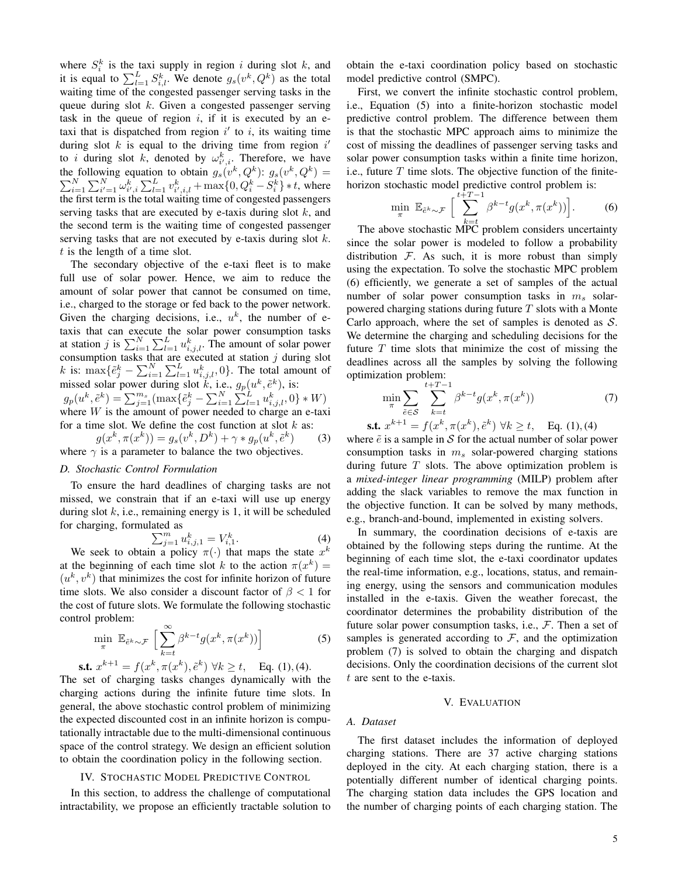where  $S_i^k$  is the taxi supply in region i during slot k, and it is equal to  $\sum_{l=1}^{L} S_{i,l}^{k}$ . We denote  $g_s(v^k, Q^k)$  as the total waiting time of the congested passenger serving tasks in the queue during slot k. Given a congested passenger serving task in the queue of region  $i$ , if it is executed by an etaxi that is dispatched from region  $i'$  to  $i$ , its waiting time during slot  $k$  is equal to the driving time from region  $i'$ to *i* during slot *k*, denoted by  $\omega_{i',i}^k$ . Therefore, we have the following equation to obtain  $g_s(v^k, Q^k)$ :  $g_s(v^k, Q^k)$ P be following equation to obtain  $g_s(v^k, Q^k)$ :  $g_s(v^k, Q^k)$  =  $\sum_{i=1}^N \sum_{i'=1}^N \omega_{i',i}^k \sum_{l=1}^L v_{i',i,l}^k + \max\{0, Q_i^k - S_i^k\} * t$ , where the first term is the total waiting time of congested passengers serving tasks that are executed by e-taxis during slot  $k$ , and the second term is the waiting time of congested passenger serving tasks that are not executed by e-taxis during slot k.  $t$  is the length of a time slot.

The secondary objective of the e-taxi fleet is to make full use of solar power. Hence, we aim to reduce the amount of solar power that cannot be consumed on time, i.e., charged to the storage or fed back to the power network. Given the charging decisions, i.e.,  $u^k$ , the number of etaxis that can execute the solar power consumption tasks at station j is  $\sum_{i=1}^{N} \sum_{l=1}^{L} u_{i,j,l}^{k}$ . The amount of solar power consumption tasks that are executed at station  $j$  during slot k is:  $\max{\{\tilde{e}^k_j - \sum_{i=1}^N \sum_{l=1}^L u^k_{i,j,l}, 0\}}$ . The total amount of missed solar power during slot  $\tilde{k}$ , i.e.,  $g_p(u^k, \tilde{e}^k)$ , is:  $g_p(u^k, \tilde{e}^k) = \sum_{j=1}^{m_s} (\max\{ \tilde{e}^k_j - \sum_{i=1}^N \sum_{l=1}^L u^k_{i,j,l}, 0 \} * W)$ where  $W$  is the amount of power needed to charge an e-taxi for a time slot. We define the cost function at slot  $k$  as:

 $g(x^k, \pi(x^k)) = g_s(v^k, D^k) + \gamma * g_p(u^k, \tilde{e}^k)$ ) (3) where  $\gamma$  is a parameter to balance the two objectives.

## *D. Stochastic Control Formulation*

To ensure the hard deadlines of charging tasks are not missed, we constrain that if an e-taxi will use up energy during slot  $k$ , i.e., remaining energy is 1, it will be scheduled for charging, formulated as

$$
\sum_{j=1}^{m} u_{i,j,1}^{k} = V_{i,1}^{k}.
$$
 (4)

 $\sum_{j=1}^{m} u_{i,j,1}^{k} = V_{i,1}^{k}$ . (4)<br>We seek to obtain a policy  $\pi(\cdot)$  that maps the state  $x^{k}$ at the beginning of each time slot k to the action  $\pi(x^k)$  =  $(u^k, v^k)$  that minimizes the cost for infinite horizon of future time slots. We also consider a discount factor of  $\beta < 1$  for the cost of future slots. We formulate the following stochastic control problem:

$$
\min_{\pi} \mathbb{E}_{\tilde{e}^k \sim \mathcal{F}} \left[ \sum_{k=t}^{\infty} \beta^{k-t} g(x^k, \pi(x^k)) \right]
$$
(5)  

$$
x^{k+1} = f(x^k, \pi(x^k), \tilde{e}^k) \ \forall k \ge t, \quad \text{Eq. (1), (4).}
$$

**s.t.** 
$$
x^{k+1} = f(x^k, \pi(x^k), \tilde{e}^k) \forall k \ge t
$$
, Eq. (1), (4).  
The set of charging tasks changes dynamically with the  
charging actions during the infinite future time slots. In  
general, the above stochastic control problem of minimizing  
the expected discounted cost in an infinite horizon is compu-  
tationally intractable due to the multi-dimensional continuous  
space of the control strategy. We design an efficient solution  
to obtain the coordination policy in the following section.

#### IV. STOCHASTIC MODEL PREDICTIVE CONTROL

In this section, to address the challenge of computational intractability, we propose an efficiently tractable solution to obtain the e-taxi coordination policy based on stochastic model predictive control (SMPC).

First, we convert the infinite stochastic control problem, i.e., Equation (5) into a finite-horizon stochastic model predictive control problem. The difference between them is that the stochastic MPC approach aims to minimize the cost of missing the deadlines of passenger serving tasks and solar power consumption tasks within a finite time horizon, i.e., future  $T$  time slots. The objective function of the finitehorizon stochastic model predictive control problem is:

$$
\min_{\pi} \mathbb{E}_{\tilde{e}^k \sim \mathcal{F}} \left[ \sum_{k=t}^{t+T-1} \beta^{k-t} g(x^k, \pi(x^k)) \right].
$$
 (6)

The above stochastic MPC problem considers uncertainty since the solar power is modeled to follow a probability distribution  $F$ . As such, it is more robust than simply using the expectation. To solve the stochastic MPC problem (6) efficiently, we generate a set of samples of the actual number of solar power consumption tasks in  $m<sub>s</sub>$  solarpowered charging stations during future  $T$  slots with a Monte Carlo approach, where the set of samples is denoted as  $S$ . We determine the charging and scheduling decisions for the future  $T$  time slots that minimize the cost of missing the deadlines across all the samples by solving the following optimization problem:

$$
\min_{\pi} \sum_{\tilde{e} \in \mathcal{S}} \sum_{k=t}^{t+T-1} \beta^{k-t} g(x^k, \pi(x^k))
$$
(7)  
s.t.  $x^{k+1} = f(x^k, \pi(x^k), \tilde{e}^k) \ \forall k \ge t$ , Eq. (1), (4)

where  $\tilde{e}$  is a sample in S for the actual number of solar power consumption tasks in  $m<sub>s</sub>$  solar-powered charging stations during future  $T$  slots. The above optimization problem is a *mixed-integer linear programming* (MILP) problem after adding the slack variables to remove the max function in the objective function. It can be solved by many methods, e.g., branch-and-bound, implemented in existing solvers.

In summary, the coordination decisions of e-taxis are obtained by the following steps during the runtime. At the beginning of each time slot, the e-taxi coordinator updates the real-time information, e.g., locations, status, and remaining energy, using the sensors and communication modules installed in the e-taxis. Given the weather forecast, the coordinator determines the probability distribution of the future solar power consumption tasks, i.e.,  $\mathcal{F}$ . Then a set of samples is generated according to  $F$ , and the optimization problem (7) is solved to obtain the charging and dispatch decisions. Only the coordination decisions of the current slot  $t$  are sent to the e-taxis.

#### V. EVALUATION

### *A. Dataset*

The first dataset includes the information of deployed charging stations. There are 37 active charging stations deployed in the city. At each charging station, there is a potentially different number of identical charging points. The charging station data includes the GPS location and the number of charging points of each charging station. The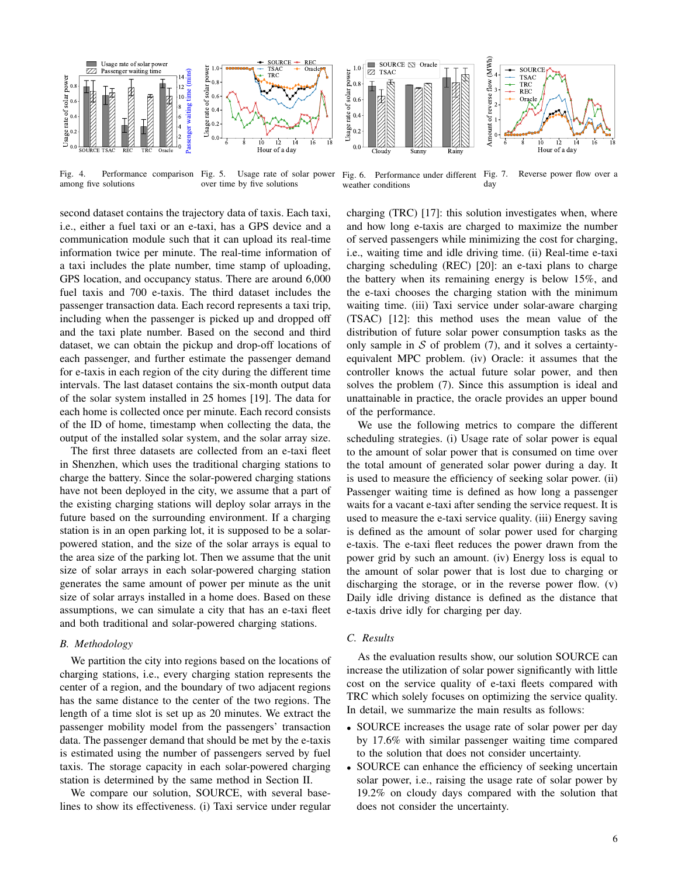

Fig. 4. Performance comparison Fig. 5. Usage rate of solar power among five solutions over time by five solutions

second dataset contains the trajectory data of taxis. Each taxi, i.e., either a fuel taxi or an e-taxi, has a GPS device and a communication module such that it can upload its real-time information twice per minute. The real-time information of a taxi includes the plate number, time stamp of uploading, GPS location, and occupancy status. There are around 6,000 fuel taxis and 700 e-taxis. The third dataset includes the passenger transaction data. Each record represents a taxi trip, including when the passenger is picked up and dropped off and the taxi plate number. Based on the second and third dataset, we can obtain the pickup and drop-off locations of each passenger, and further estimate the passenger demand for e-taxis in each region of the city during the different time intervals. The last dataset contains the six-month output data of the solar system installed in 25 homes [19]. The data for each home is collected once per minute. Each record consists of the ID of home, timestamp when collecting the data, the output of the installed solar system, and the solar array size.

The first three datasets are collected from an e-taxi fleet in Shenzhen, which uses the traditional charging stations to charge the battery. Since the solar-powered charging stations have not been deployed in the city, we assume that a part of the existing charging stations will deploy solar arrays in the future based on the surrounding environment. If a charging station is in an open parking lot, it is supposed to be a solarpowered station, and the size of the solar arrays is equal to the area size of the parking lot. Then we assume that the unit size of solar arrays in each solar-powered charging station generates the same amount of power per minute as the unit size of solar arrays installed in a home does. Based on these assumptions, we can simulate a city that has an e-taxi fleet and both traditional and solar-powered charging stations.

# *B. Methodology*

We partition the city into regions based on the locations of charging stations, i.e., every charging station represents the center of a region, and the boundary of two adjacent regions has the same distance to the center of the two regions. The length of a time slot is set up as 20 minutes. We extract the passenger mobility model from the passengers' transaction data. The passenger demand that should be met by the e-taxis is estimated using the number of passengers served by fuel taxis. The storage capacity in each solar-powered charging station is determined by the same method in Section II.

We compare our solution, SOURCE, with several baselines to show its effectiveness. (i) Taxi service under regular



Fig. 6. Performance under different Fig. 7. weather conditions Reverse power flow over a day

charging (TRC) [17]: this solution investigates when, where and how long e-taxis are charged to maximize the number of served passengers while minimizing the cost for charging, i.e., waiting time and idle driving time. (ii) Real-time e-taxi charging scheduling (REC) [20]: an e-taxi plans to charge the battery when its remaining energy is below 15%, and the e-taxi chooses the charging station with the minimum waiting time. (iii) Taxi service under solar-aware charging (TSAC) [12]: this method uses the mean value of the distribution of future solar power consumption tasks as the only sample in  $S$  of problem (7), and it solves a certaintyequivalent MPC problem. (iv) Oracle: it assumes that the controller knows the actual future solar power, and then solves the problem (7). Since this assumption is ideal and unattainable in practice, the oracle provides an upper bound of the performance.

We use the following metrics to compare the different scheduling strategies. (i) Usage rate of solar power is equal to the amount of solar power that is consumed on time over the total amount of generated solar power during a day. It is used to measure the efficiency of seeking solar power. (ii) Passenger waiting time is defined as how long a passenger waits for a vacant e-taxi after sending the service request. It is used to measure the e-taxi service quality. (iii) Energy saving is defined as the amount of solar power used for charging e-taxis. The e-taxi fleet reduces the power drawn from the power grid by such an amount. (iv) Energy loss is equal to the amount of solar power that is lost due to charging or discharging the storage, or in the reverse power flow. (v) Daily idle driving distance is defined as the distance that e-taxis drive idly for charging per day.

## *C. Results*

As the evaluation results show, our solution SOURCE can increase the utilization of solar power significantly with little cost on the service quality of e-taxi fleets compared with TRC which solely focuses on optimizing the service quality. In detail, we summarize the main results as follows:

- SOURCE increases the usage rate of solar power per day by 17.6% with similar passenger waiting time compared to the solution that does not consider uncertainty.
- SOURCE can enhance the efficiency of seeking uncertain solar power, i.e., raising the usage rate of solar power by 19.2% on cloudy days compared with the solution that does not consider the uncertainty.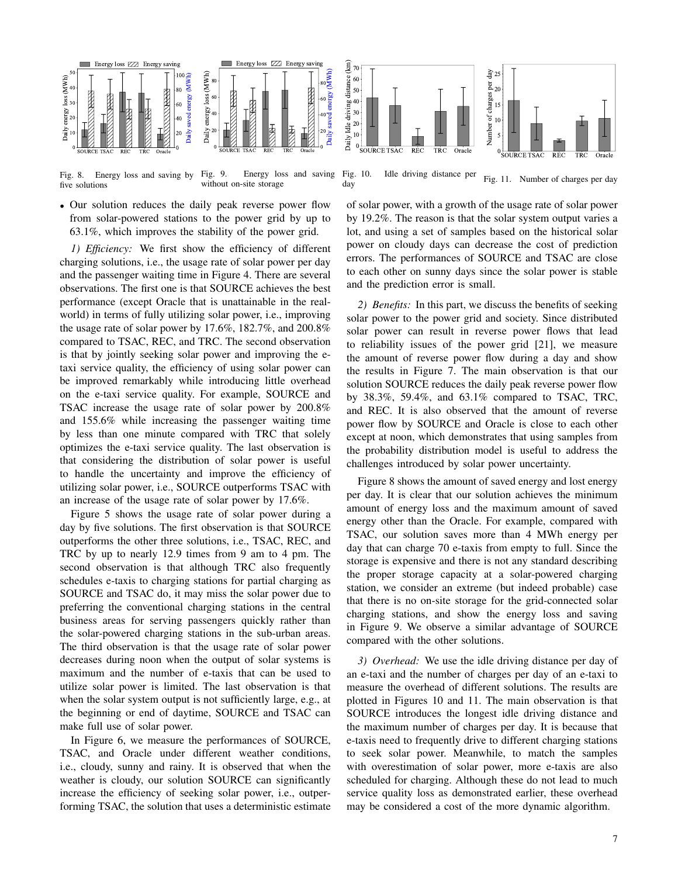

Fig. 8. Energy loss and saving by Fig. 9. five solutions Energy loss and saving without on-site storage

• Our solution reduces the daily peak reverse power flow from solar-powered stations to the power grid by up to 63.1%, which improves the stability of the power grid.

*1) Efficiency:* We first show the efficiency of different charging solutions, i.e., the usage rate of solar power per day and the passenger waiting time in Figure 4. There are several observations. The first one is that SOURCE achieves the best performance (except Oracle that is unattainable in the realworld) in terms of fully utilizing solar power, i.e., improving the usage rate of solar power by 17.6%, 182.7%, and 200.8% compared to TSAC, REC, and TRC. The second observation is that by jointly seeking solar power and improving the etaxi service quality, the efficiency of using solar power can be improved remarkably while introducing little overhead on the e-taxi service quality. For example, SOURCE and TSAC increase the usage rate of solar power by 200.8% and 155.6% while increasing the passenger waiting time by less than one minute compared with TRC that solely optimizes the e-taxi service quality. The last observation is that considering the distribution of solar power is useful to handle the uncertainty and improve the efficiency of utilizing solar power, i.e., SOURCE outperforms TSAC with an increase of the usage rate of solar power by 17.6%.

Figure 5 shows the usage rate of solar power during a day by five solutions. The first observation is that SOURCE outperforms the other three solutions, i.e., TSAC, REC, and TRC by up to nearly 12.9 times from 9 am to 4 pm. The second observation is that although TRC also frequently schedules e-taxis to charging stations for partial charging as SOURCE and TSAC do, it may miss the solar power due to preferring the conventional charging stations in the central business areas for serving passengers quickly rather than the solar-powered charging stations in the sub-urban areas. The third observation is that the usage rate of solar power decreases during noon when the output of solar systems is maximum and the number of e-taxis that can be used to utilize solar power is limited. The last observation is that when the solar system output is not sufficiently large, e.g., at the beginning or end of daytime, SOURCE and TSAC can make full use of solar power.

In Figure 6, we measure the performances of SOURCE, TSAC, and Oracle under different weather conditions, i.e., cloudy, sunny and rainy. It is observed that when the weather is cloudy, our solution SOURCE can significantly increase the efficiency of seeking solar power, i.e., outperforming TSAC, the solution that uses a deterministic estimate



Fig. 10. Idle driving distance per day Fig. 11. Number of charges per day

of solar power, with a growth of the usage rate of solar power by 19.2%. The reason is that the solar system output varies a lot, and using a set of samples based on the historical solar power on cloudy days can decrease the cost of prediction errors. The performances of SOURCE and TSAC are close to each other on sunny days since the solar power is stable and the prediction error is small.

*2) Benefits:* In this part, we discuss the benefits of seeking solar power to the power grid and society. Since distributed solar power can result in reverse power flows that lead to reliability issues of the power grid [21], we measure the amount of reverse power flow during a day and show the results in Figure 7. The main observation is that our solution SOURCE reduces the daily peak reverse power flow by 38.3%, 59.4%, and 63.1% compared to TSAC, TRC, and REC. It is also observed that the amount of reverse power flow by SOURCE and Oracle is close to each other except at noon, which demonstrates that using samples from the probability distribution model is useful to address the challenges introduced by solar power uncertainty.

Figure 8 shows the amount of saved energy and lost energy per day. It is clear that our solution achieves the minimum amount of energy loss and the maximum amount of saved energy other than the Oracle. For example, compared with TSAC, our solution saves more than 4 MWh energy per day that can charge 70 e-taxis from empty to full. Since the storage is expensive and there is not any standard describing the proper storage capacity at a solar-powered charging station, we consider an extreme (but indeed probable) case that there is no on-site storage for the grid-connected solar charging stations, and show the energy loss and saving in Figure 9. We observe a similar advantage of SOURCE compared with the other solutions.

*3) Overhead:* We use the idle driving distance per day of an e-taxi and the number of charges per day of an e-taxi to measure the overhead of different solutions. The results are plotted in Figures 10 and 11. The main observation is that SOURCE introduces the longest idle driving distance and the maximum number of charges per day. It is because that e-taxis need to frequently drive to different charging stations to seek solar power. Meanwhile, to match the samples with overestimation of solar power, more e-taxis are also scheduled for charging. Although these do not lead to much service quality loss as demonstrated earlier, these overhead may be considered a cost of the more dynamic algorithm.